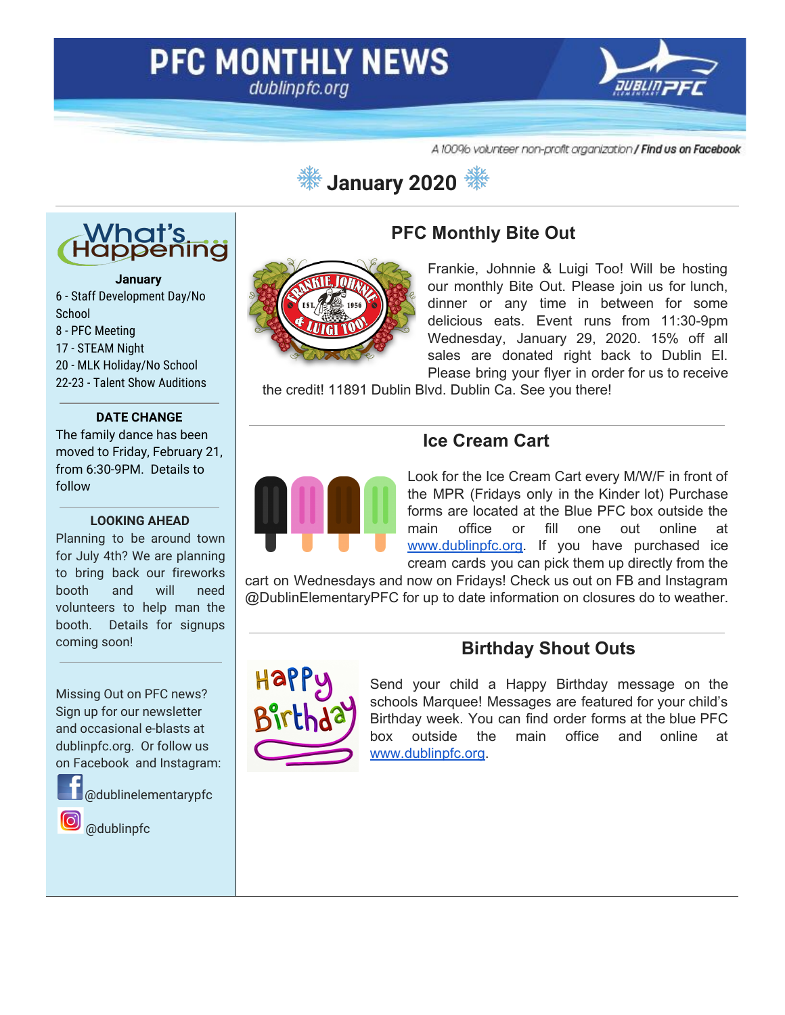# **PFC MONTHLY NEWS** dublinpfc.org



A 10096 volunteer non-profit organization / Find us on Facebook

# **January 2020**



#### **January**

 - Staff Development Day/No **School**  - PFC Meeting - STEAM Night - MLK Holiday/No School 22-23 - Talent Show Auditions

#### **DATE CHANGE**

The family dance has been moved to Friday, February 21, from 6:30-9PM. Details to follow

#### **LOOKING AHEAD**

Planning to be around town for July 4th? We are planning to bring back our fireworks booth and will need volunteers to help man the booth. Details for signups coming soon!

Missing Out on PFC news? Sign up for our newsletter and occasional e-blasts at dublinpfc.org. Or follow us on Facebook and Instagram:



@dublinelementarypfc

@dublinpfc



#### **PFC Monthly Bite Out**

Frankie, Johnnie & Luigi Too! Will be hosting our monthly Bite Out. Please join us for lunch, dinner or any time in between for some delicious eats. Event runs from 11:30-9pm Wednesday, January 29, 2020. 15% off all sales are donated right back to Dublin El. Please bring your flyer in order for us to receive

the credit! 11891 Dublin Blvd. Dublin Ca. See you there!

#### **Ice Cream Cart**



Look for the Ice Cream Cart every M/W/F in front of the MPR (Fridays only in the Kinder lot) Purchase forms are located at the Blue PFC box outside the main office or fill one out online at [www.dublinpfc.org.](http://www.dublinpfc.org/) If you have purchased ice cream cards you can pick them up directly from the

cart on Wednesdays and now on Fridays! Check us out on FB and Instagram @DublinElementaryPFC for up to date information on closures do to weather.

## **Birthday Shout Outs**



Send your child a Happy Birthday message on the schools Marquee! Messages are featured for your child's Birthday week. You can find order forms at the blue PFC box outside the main office and online at [www.dublinpfc.org.](http://www.dublinpfc.org/)